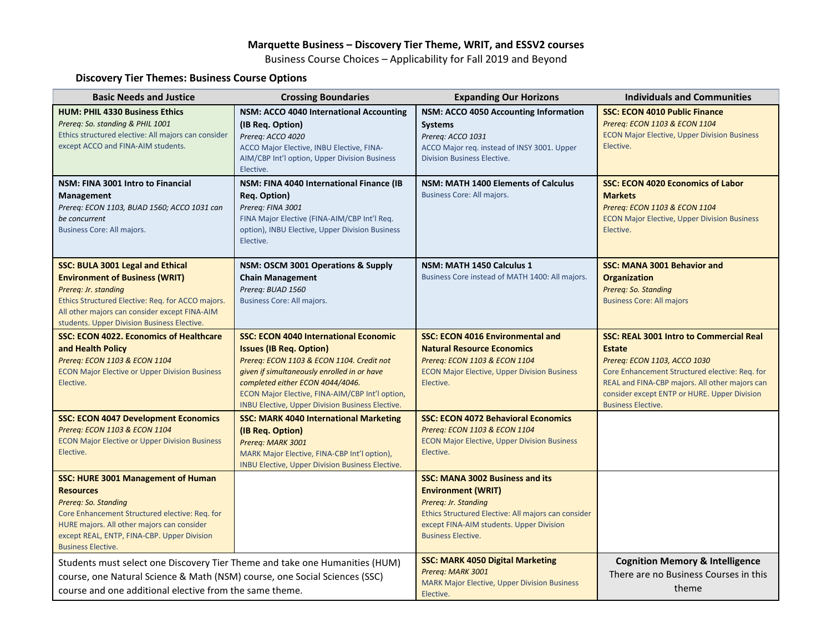# **Marquette Business – Discovery Tier Theme, WRIT, and ESSV2 courses**

Business Course Choices – Applicability for Fall 2019 and Beyond

# **Discovery Tier Themes: Business Course Options**

| <b>Basic Needs and Justice</b>                                                                                                                                                                                                                                    | <b>Crossing Boundaries</b>                                                                                                                                                                                                                                                                                                   | <b>Expanding Our Horizons</b>                                                                                                                                                                                               | <b>Individuals and Communities</b>                                                                                                                                                                                                                                               |
|-------------------------------------------------------------------------------------------------------------------------------------------------------------------------------------------------------------------------------------------------------------------|------------------------------------------------------------------------------------------------------------------------------------------------------------------------------------------------------------------------------------------------------------------------------------------------------------------------------|-----------------------------------------------------------------------------------------------------------------------------------------------------------------------------------------------------------------------------|----------------------------------------------------------------------------------------------------------------------------------------------------------------------------------------------------------------------------------------------------------------------------------|
| <b>HUM: PHIL 4330 Business Ethics</b><br>Prereq: So. standing & PHIL 1001<br>Ethics structured elective: All majors can consider<br>except ACCO and FINA-AIM students.                                                                                            | NSM: ACCO 4040 International Accounting<br>(IB Req. Option)<br>Prereq: ACCO 4020<br>ACCO Major Elective, INBU Elective, FINA-<br>AIM/CBP Int'l option, Upper Division Business<br>Elective.                                                                                                                                  | NSM: ACCO 4050 Accounting Information<br><b>Systems</b><br>Prereg: ACCO 1031<br>ACCO Major reg. instead of INSY 3001. Upper<br>Division Business Elective.                                                                  | <b>SSC: ECON 4010 Public Finance</b><br>Prereg: ECON 1103 & ECON 1104<br><b>ECON Major Elective, Upper Division Business</b><br>Elective.                                                                                                                                        |
| NSM: FINA 3001 Intro to Financial<br><b>Management</b><br>Prereq: ECON 1103, BUAD 1560; ACCO 1031 can<br>be concurrent<br>Business Core: All majors.                                                                                                              | NSM: FINA 4040 International Finance (IB<br>Reg. Option)<br>Prereg: FINA 3001<br>FINA Major Elective (FINA-AIM/CBP Int'l Req.<br>option), INBU Elective, Upper Division Business<br>Elective.                                                                                                                                | <b>NSM: MATH 1400 Elements of Calculus</b><br>Business Core: All majors.                                                                                                                                                    | <b>SSC: ECON 4020 Economics of Labor</b><br><b>Markets</b><br>Prereq: ECON 1103 & ECON 1104<br><b>ECON Major Elective, Upper Division Business</b><br>Elective.                                                                                                                  |
| <b>SSC: BULA 3001 Legal and Ethical</b><br><b>Environment of Business (WRIT)</b><br>Prereg: Jr. standing<br>Ethics Structured Elective: Req. for ACCO majors.<br>All other majors can consider except FINA-AIM<br>students. Upper Division Business Elective.     | NSM: OSCM 3001 Operations & Supply<br><b>Chain Management</b><br>Prereg: BUAD 1560<br><b>Business Core: All majors.</b>                                                                                                                                                                                                      | NSM: MATH 1450 Calculus 1<br>Business Core instead of MATH 1400: All majors.                                                                                                                                                | <b>SSC: MANA 3001 Behavior and</b><br><b>Organization</b><br>Prereg: So. Standing<br><b>Business Core: All majors</b>                                                                                                                                                            |
| <b>SSC: ECON 4022. Economics of Healthcare</b><br>and Health Policy<br>Prereg: ECON 1103 & ECON 1104<br><b>ECON Major Elective or Upper Division Business</b><br>Elective.                                                                                        | <b>SSC: ECON 4040 International Economic</b><br><b>Issues (IB Req. Option)</b><br>Prereq: ECON 1103 & ECON 1104. Credit not<br>given if simultaneously enrolled in or have<br>completed either ECON 4044/4046.<br>ECON Major Elective, FINA-AIM/CBP Int'l option,<br><b>INBU Elective, Upper Division Business Elective.</b> | <b>SSC: ECON 4016 Environmental and</b><br><b>Natural Resource Economics</b><br>Prereq: ECON 1103 & ECON 1104<br><b>ECON Major Elective, Upper Division Business</b><br>Elective.                                           | <b>SSC: REAL 3001 Intro to Commercial Real</b><br><b>Estate</b><br>Prereq: ECON 1103, ACCO 1030<br>Core Enhancement Structured elective: Req. for<br>REAL and FINA-CBP majors. All other majors can<br>consider except ENTP or HURE. Upper Division<br><b>Business Elective.</b> |
| <b>SSC: ECON 4047 Development Economics</b><br>Prereq: ECON 1103 & ECON 1104<br><b>ECON Major Elective or Upper Division Business</b><br>Elective.                                                                                                                | <b>SSC: MARK 4040 International Marketing</b><br>(IB Req. Option)<br>Prereq: MARK 3001<br>MARK Major Elective, FINA-CBP Int'l option),<br><b>INBU Elective, Upper Division Business Elective.</b>                                                                                                                            | <b>SSC: ECON 4072 Behavioral Economics</b><br>Prereq: ECON 1103 & ECON 1104<br><b>ECON Major Elective, Upper Division Business</b><br>Elective.                                                                             |                                                                                                                                                                                                                                                                                  |
| <b>SSC: HURE 3001 Management of Human</b><br><b>Resources</b><br>Prereg: So. Standing<br>Core Enhancement Structured elective: Req. for<br>HURE majors. All other majors can consider<br>except REAL, ENTP, FINA-CBP. Upper Division<br><b>Business Elective.</b> |                                                                                                                                                                                                                                                                                                                              | <b>SSC: MANA 3002 Business and its</b><br><b>Environment (WRIT)</b><br>Prereg: Jr. Standing<br>Ethics Structured Elective: All majors can consider<br>except FINA-AIM students. Upper Division<br><b>Business Elective.</b> |                                                                                                                                                                                                                                                                                  |
| Students must select one Discovery Tier Theme and take one Humanities (HUM)<br>course, one Natural Science & Math (NSM) course, one Social Sciences (SSC)<br>course and one additional elective from the same theme.                                              |                                                                                                                                                                                                                                                                                                                              | <b>SSC: MARK 4050 Digital Marketing</b><br>Prereq: MARK 3001<br><b>MARK Major Elective, Upper Division Business</b><br>Elective.                                                                                            | <b>Cognition Memory &amp; Intelligence</b><br>There are no Business Courses in this<br>theme                                                                                                                                                                                     |